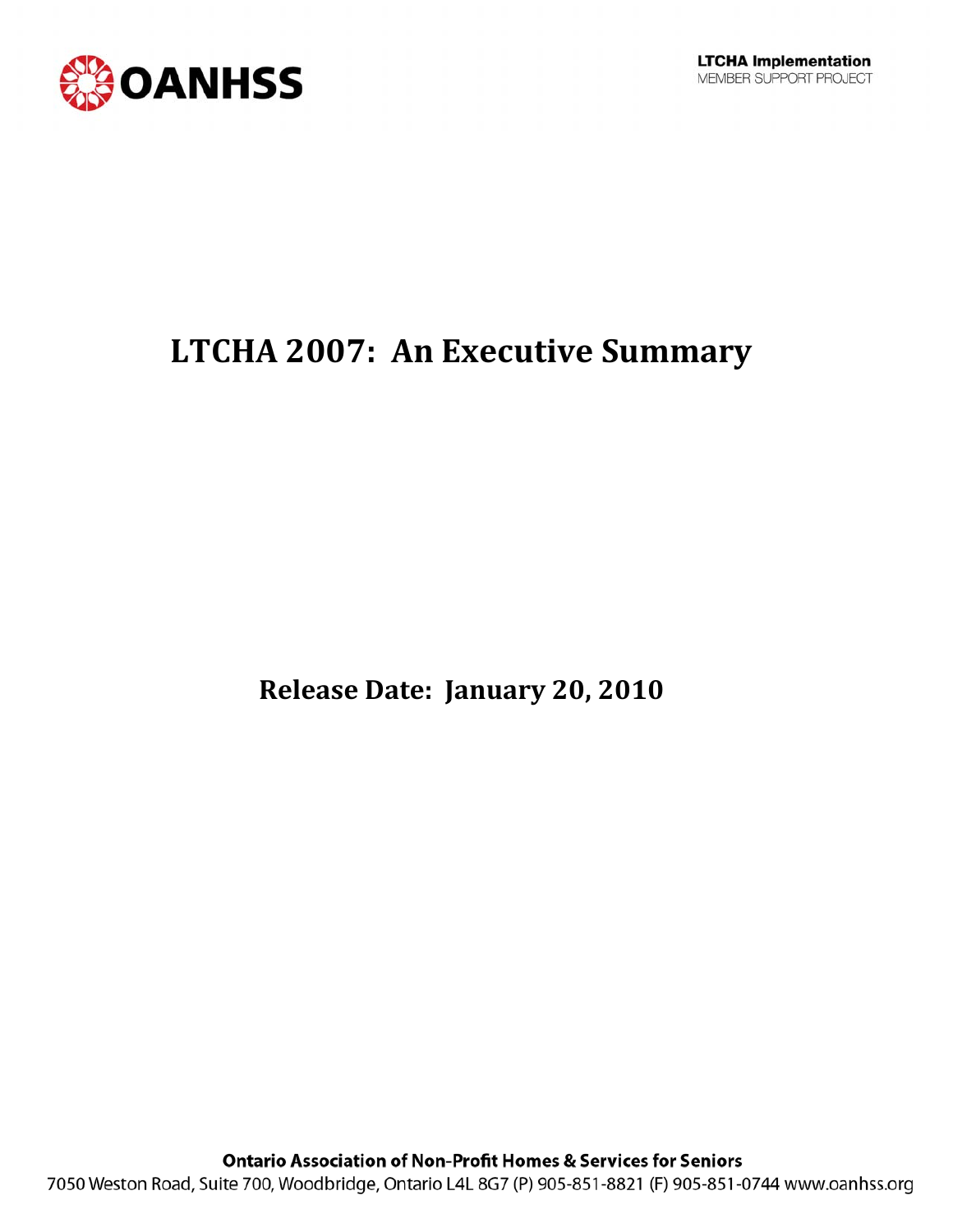

# **LTCHA 2007: An Executive Summary**

**Release Date: January 20, 2010**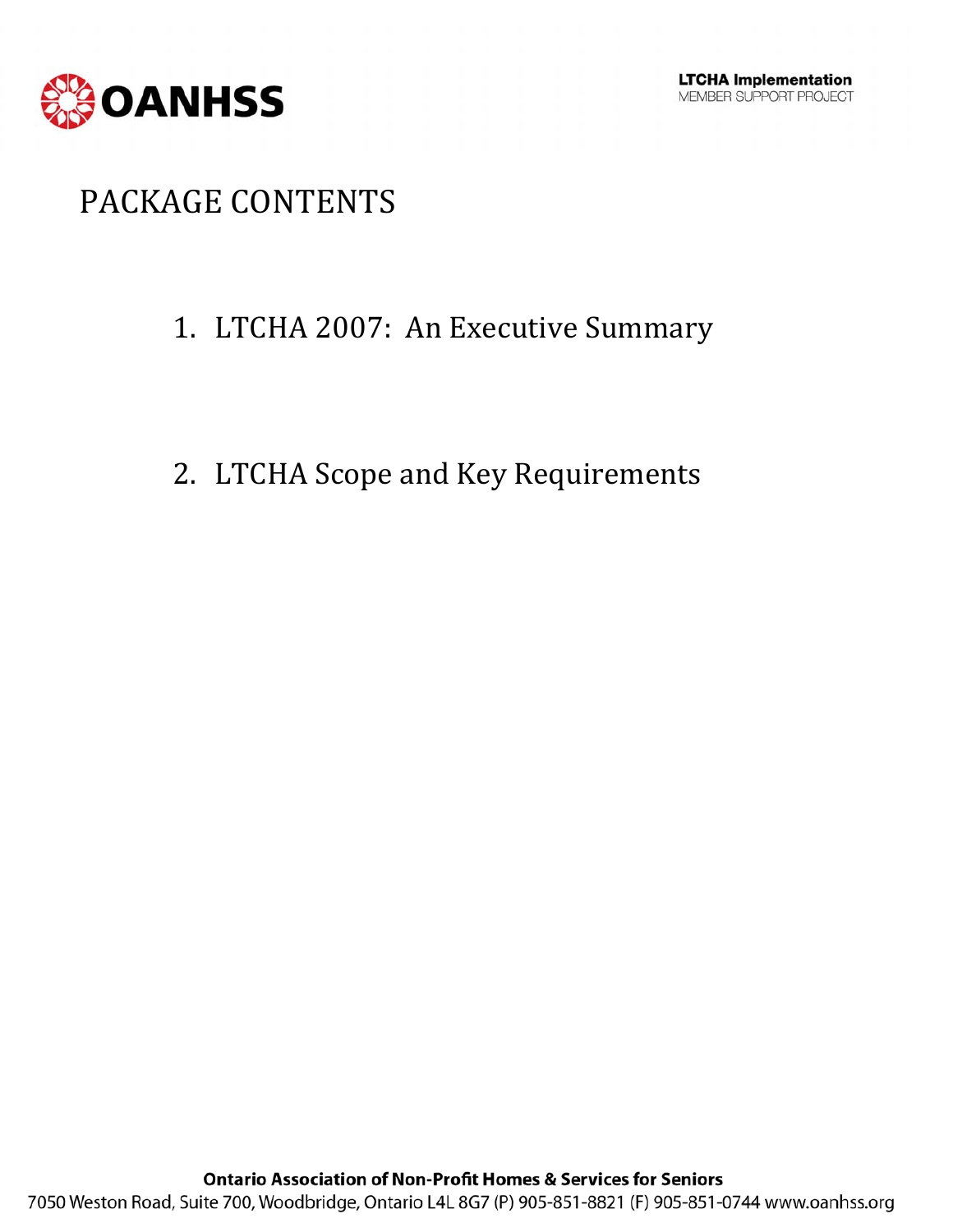

# PACKAGE CONTENTS

### 1. LTCHA 2007: An Executive Summary

### 2. LTCHA Scope and Key Requirements

**Ontario Association of Non-Profit Homes & Services for Seniors** 7050 Weston Road, Suite 700, Woodbridge, Ontario L4L 8G7 (P) 905-851-8821 (F) 905-851-0744 www.oanhss.org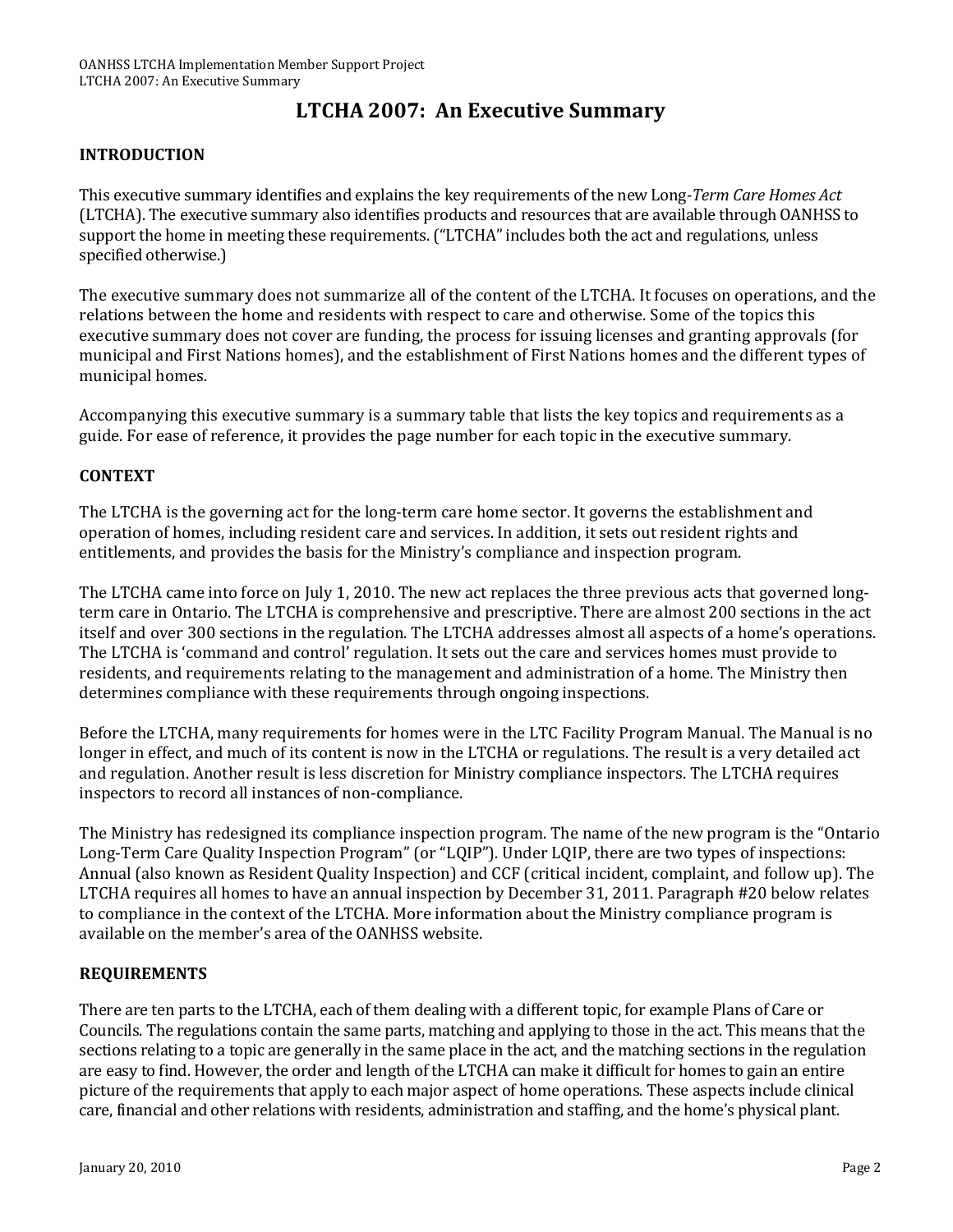### **LTCHA 2007: An Executive Summary**

#### **INTRODUCTION**

This executive summary identifies and explains the key requirements of the new Long*Term Care Homes Act* (LTCHA). The executive summary also identifies products and resources that are available through OANHSS to support the home in meeting these requirements. ("LTCHA" includes both the act and regulations, unless specified otherwise.)

The executive summary does not summarize all of the content of the LTCHA. It focuses on operations, and the relations between the home and residents with respect to care and otherwise. Some of the topics this executive summary does not cover are funding, the process for issuing licenses and granting approvals (for municipal and First Nations homes), and the establishment of First Nations homes and the different types of municipal homes.

Accompanying this executive summary is a summary table that lists the key topics and requirements as a guide. For ease of reference, it provides the page number for each topic in the executive summary.

#### **CONTEXT**

The LTCHA is the governing act for the long-term care home sector. It governs the establishment and operation of homes, including resident care and services. In addition, it sets out resident rights and entitlements, and provides the basis for the Ministry's compliance and inspection program.

The LTCHA came into force on July 1, 2010. The new act replaces the three previous acts that governed long‐ term care in Ontario. The LTCHA is comprehensive and prescriptive. There are almost 200 sections in the act itself and over 300 sections in the regulation. The LTCHA addresses almost all aspects of a home's operations. The LTCHA is 'command and control' regulation. It sets out the care and services homes must provide to residents, and requirements relating to the management and administration of a home. The Ministry then determines compliance with these requirements through ongoing inspections.

Before the LTCHA, many requirements for homes were in the LTC Facility Program Manual. The Manual is no longer in effect, and much of its content is now in the LTCHA or regulations. The result is a very detailed act and regulation. Another result is less discretion for Ministry compliance inspectors. The LTCHA requires inspectors to record all instances of non‐compliance.

The Ministry has redesigned its compliance inspection program. The name of the new program is the "Ontario Long‐Term Care Quality Inspection Program" (or "LQIP"). Under LQIP, there are two types of inspections: Annual (also known as Resident Quality Inspection) and CCF (critical incident, complaint, and follow up). The LTCHA requires all homes to have an annual inspection by December 31, 2011. Paragraph #20 below relates to compliance in the context of the LTCHA. More information about the Ministry compliance program is available on the member's area of the OANHSS website.

#### **REQUIREMENTS**

There are ten parts to the LTCHA, each of them dealing with a different topic, for example Plans of Care or Councils. The regulations contain the same parts, matching and applying to those in the act. This means that the sections relating to a topic are generally in the same place in the act, and the matching sections in the regulation are easy to find. However, the order and length of the LTCHA can make it difficult for homes to gain an entire picture of the requirements that apply to each major aspect of home operations. These aspects include clinical care, financial and other relations with residents, administration and staffing, and the home's physical plant.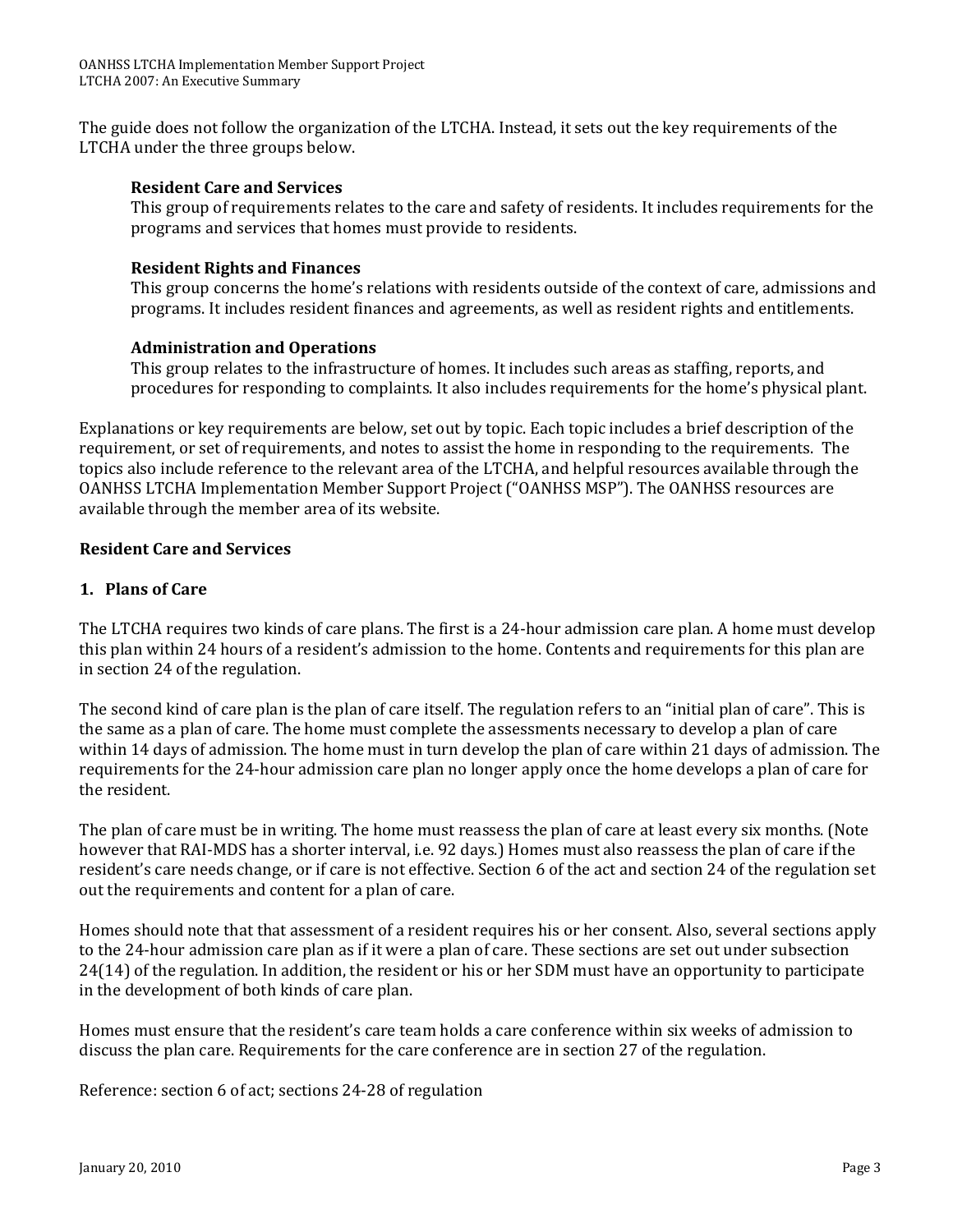The guide does not follow the organization of the LTCHA. Instead, it sets out the key requirements of the LTCHA under the three groups below.

#### **Resident Care and Services**

This group of requirements relates to the care and safety of residents. It includes requirements for the programs and services that homes must provide to residents.

#### **Resident Rights and Finances**

This group concerns the home's relations with residents outside of the context of care, admissions and programs. It includes resident finances and agreements, as well as resident rights and entitlements.

#### **Administration and Operations**

This group relates to the infrastructure of homes. It includes such areas as staffing, reports, and procedures for responding to complaints. It also includes requirements for the home's physical plant.

Explanations or key requirements are below, set out by topic. Each topic includes a brief description of the requirement, or set of requirements, and notes to assist the home in responding to the requirements. The topics also include reference to the relevant area of the LTCHA, and helpful resources available through the OANHSS LTCHA Implementation Member Support Project ("OANHSS MSP"). The OANHSS resources are available through the member area of its website.

#### **Resident Care and Services**

#### **1. Plans of Care**

The LTCHA requires two kinds of care plans. The first is a 24‐hour admission care plan. A home must develop this plan within 24 hours of a resident's admission to the home. Contents and requirements for this plan are in section 24 of the regulation.

The second kind of care plan is the plan of care itself. The regulation refers to an "initial plan of care". This is the same as a plan of care. The home must complete the assessments necessary to develop a plan of care within 14 days of admission. The home must in turn develop the plan of care within 21 days of admission. The requirements for the 24‐hour admission care plan no longer apply once the home develops a plan of care for the resident.

The plan of care must be in writing. The home must reassess the plan of care at least every six months. (Note however that RAI‐MDS has a shorter interval, i.e. 92 days.) Homes must also reassess the plan of care if the resident's care needs change, or if care is not effective. Section 6 of the act and section 24 of the regulation set out the requirements and content for a plan of care.

Homes should note that that assessment of a resident requires his or her consent. Also, several sections apply to the 24‐hour admission care plan as if it were a plan of care. These sections are set out under subsection 24(14) of the regulation. In addition, the resident or his or her SDM must have an opportunity to participate in the development of both kinds of care plan.

Homes must ensure that the resident's care team holds a care conference within six weeks of admission to discuss the plan care. Requirements for the care conference are in section 27 of the regulation.

Reference: section 6 of act; sections 24‐28 of regulation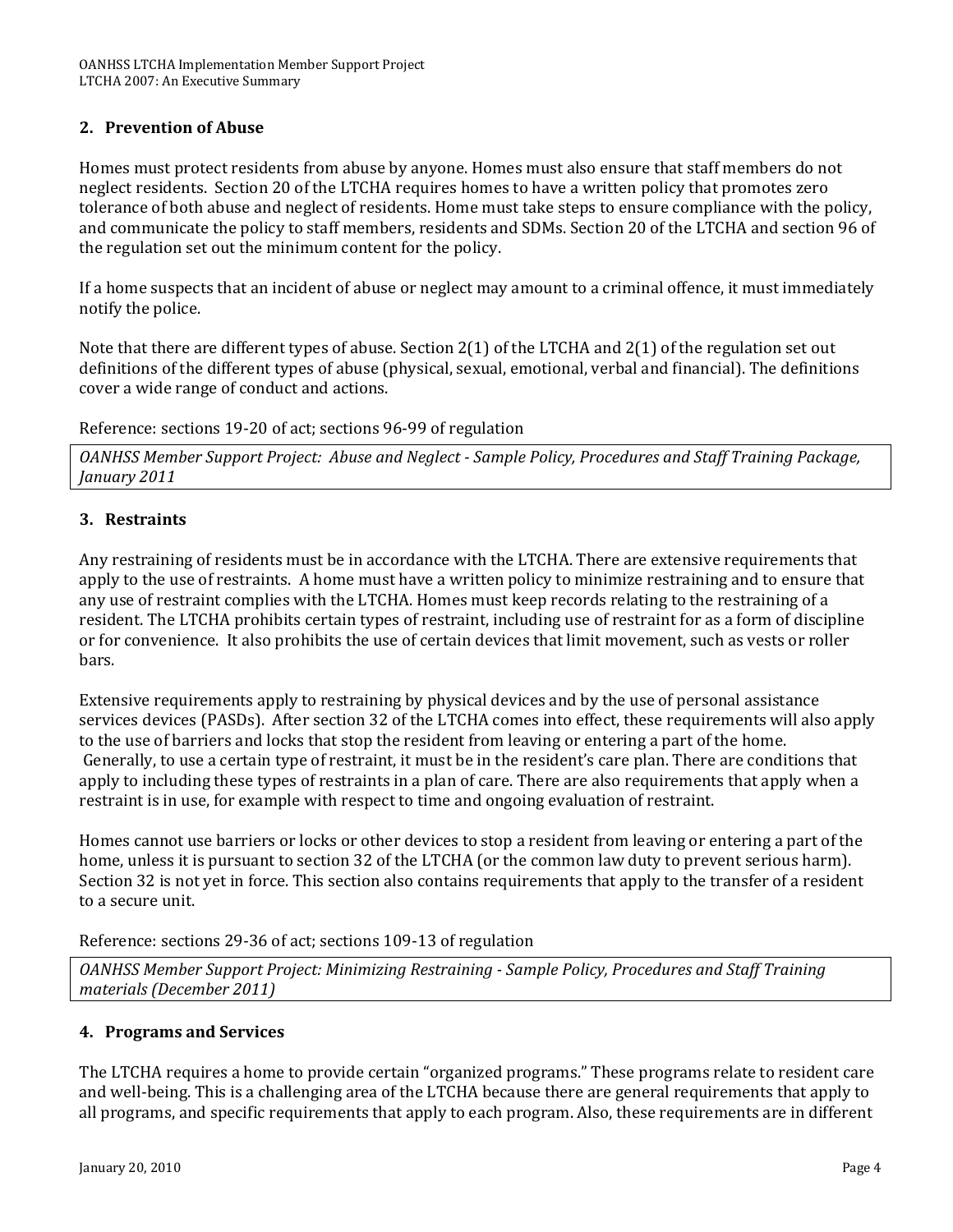#### **2. Prevention of Abuse**

Homes must protect residents from abuse by anyone. Homes must also ensure that staff members do not neglect residents. Section 20 of the LTCHA requires homes to have a written policy that promotes zero tolerance of both abuse and neglect of residents. Home must take steps to ensure compliance with the policy, and communicate the policy to staff members, residents and SDMs. Section 20 of the LTCHA and section 96 of the regulation set out the minimum content for the policy.

If a home suspects that an incident of abuse or neglect may amount to a criminal offence, it must immediately notify the police.

Note that there are different types of abuse. Section 2(1) of the LTCHA and 2(1) of the regulation set out definitions of the different types of abuse (physical, sexual, emotional, verbal and financial). The definitions cover a wide range of conduct and actions.

Reference: sections 19‐20 of act; sections 96‐99 of regulation

*OANHSS Member Support Project: Abuse and Neglect Sample Policy, Procedures and Staff Training Package, January 2011*

#### **3. Restraints**

Any restraining of residents must be in accordance with the LTCHA. There are extensive requirements that apply to the use of restraints. A home must have a written policy to minimize restraining and to ensure that any use of restraint complies with the LTCHA. Homes must keep records relating to the restraining of a resident. The LTCHA prohibits certain types of restraint, including use of restraint for as a form of discipline or for convenience. It also prohibits the use of certain devices that limit movement, such as vests or roller bars.

Extensive requirements apply to restraining by physical devices and by the use of personal assistance services devices (PASDs). After section 32 of the LTCHA comes into effect, these requirements will also apply to the use of barriers and locks that stop the resident from leaving or entering a part of the home. Generally, to use a certain type of restraint, it must be in the resident's care plan. There are conditions that apply to including these types of restraints in a plan of care. There are also requirements that apply when a restraint is in use, for example with respect to time and ongoing evaluation of restraint.

Homes cannot use barriers or locks or other devices to stop a resident from leaving or entering a part of the home, unless it is pursuant to section 32 of the LTCHA (or the common law duty to prevent serious harm). Section 32 is not yet in force. This section also contains requirements that apply to the transfer of a resident to a secure unit.

Reference: sections 29‐36 of act; sections 109‐13 of regulation

*OANHSS Member Support Project: Minimizing Restraining Sample Policy, Procedures and Staff Training materials (December 2011)* 

#### **4. Programs and Services**

The LTCHA requires a home to provide certain "organized programs." These programs relate to resident care and well‐being. This is a challenging area of the LTCHA because there are general requirements that apply to all programs, and specific requirements that apply to each program. Also, these requirements are in different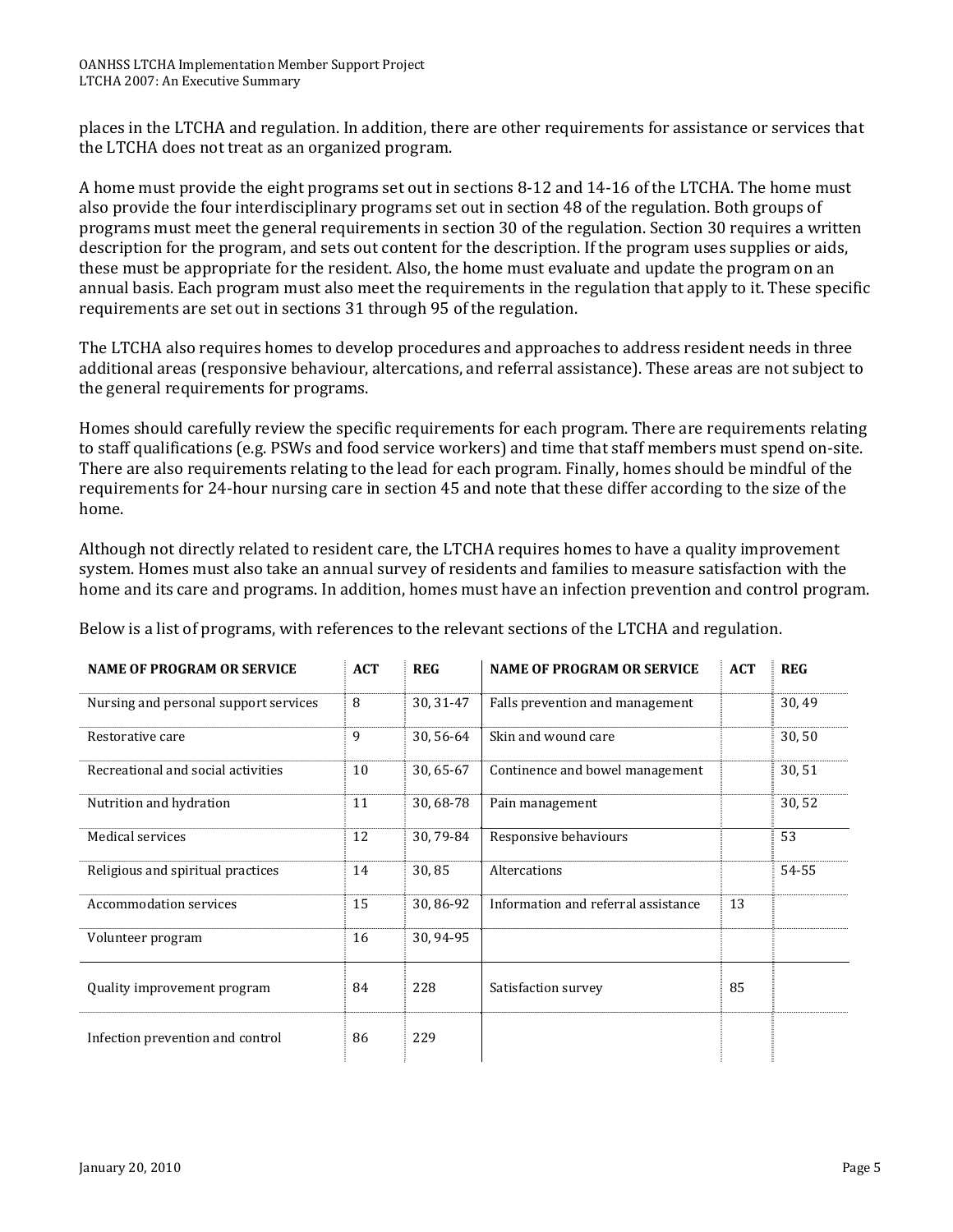places in the LTCHA and regulation. In addition, there are other requirements for assistance or services that the LTCHA does not treat as an organized program.

A home must provide the eight programs set out in sections 8‐12 and 14‐16 of the LTCHA. The home must also provide the four interdisciplinary programs set out in section 48 of the regulation. Both groups of programs must meet the general requirements in section 30 of the regulation. Section 30 requires a written description for the program, and sets out content for the description. If the program uses supplies or aids, these must be appropriate for the resident. Also, the home must evaluate and update the program on an annual basis. Each program must also meet the requirements in the regulation that apply to it. These specific requirements are set out in sections 31 through 95 of the regulation.

The LTCHA also requires homes to develop procedures and approaches to address resident needs in three additional areas (responsive behaviour, altercations, and referral assistance). These areas are not subject to the general requirements for programs.

Homes should carefully review the specific requirements for each program. There are requirements relating to staff qualifications (e.g. PSWs and food service workers) and time that staff members must spend on‐site. There are also requirements relating to the lead for each program. Finally, homes should be mindful of the requirements for 24‐hour nursing care in section 45 and note that these differ according to the size of the home.

Although not directly related to resident care, the LTCHA requires homes to have a quality improvement ystem. Homes must also take an annual survey of residents and families to measure satisfaction with the s home and its care and programs. In addition, homes must have an infection prevention and control program.

| <b>NAME OF PROGRAM OR SERVICE</b>     | <b>ACT</b> | <b>REG</b> | <b>NAME OF PROGRAM OR SERVICE</b>   | <b>ACT</b> | <b>REG</b> |
|---------------------------------------|------------|------------|-------------------------------------|------------|------------|
| Nursing and personal support services | 8          | 30, 31-47  | Falls prevention and management     |            | 30,49      |
| Restorative care                      | 9          | 30, 56-64  | Skin and wound care                 |            | 30,50      |
| Recreational and social activities    | 10         | 30, 65-67  | Continence and bowel management     |            | 30,51      |
| Nutrition and hydration               | 11         | 30, 68-78  | Pain management                     |            | 30,52      |
| Medical services                      | 12         | 30, 79-84  | Responsive behaviours               |            | 53         |
| Religious and spiritual practices     | 14         | 30,85      | Altercations                        |            | 54-55      |
| <b>Accommodation services</b>         | 15         | 30,86-92   | Information and referral assistance | 13         |            |
| Volunteer program                     | 16         | 30, 94-95  |                                     |            |            |
| Quality improvement program           | 84         | 228        | Satisfaction survey                 | 85         |            |
| Infection prevention and control      | 86         | 229        |                                     |            |            |

Below is a list of programs, with references to the relevant sections of the LTCHA and regulation.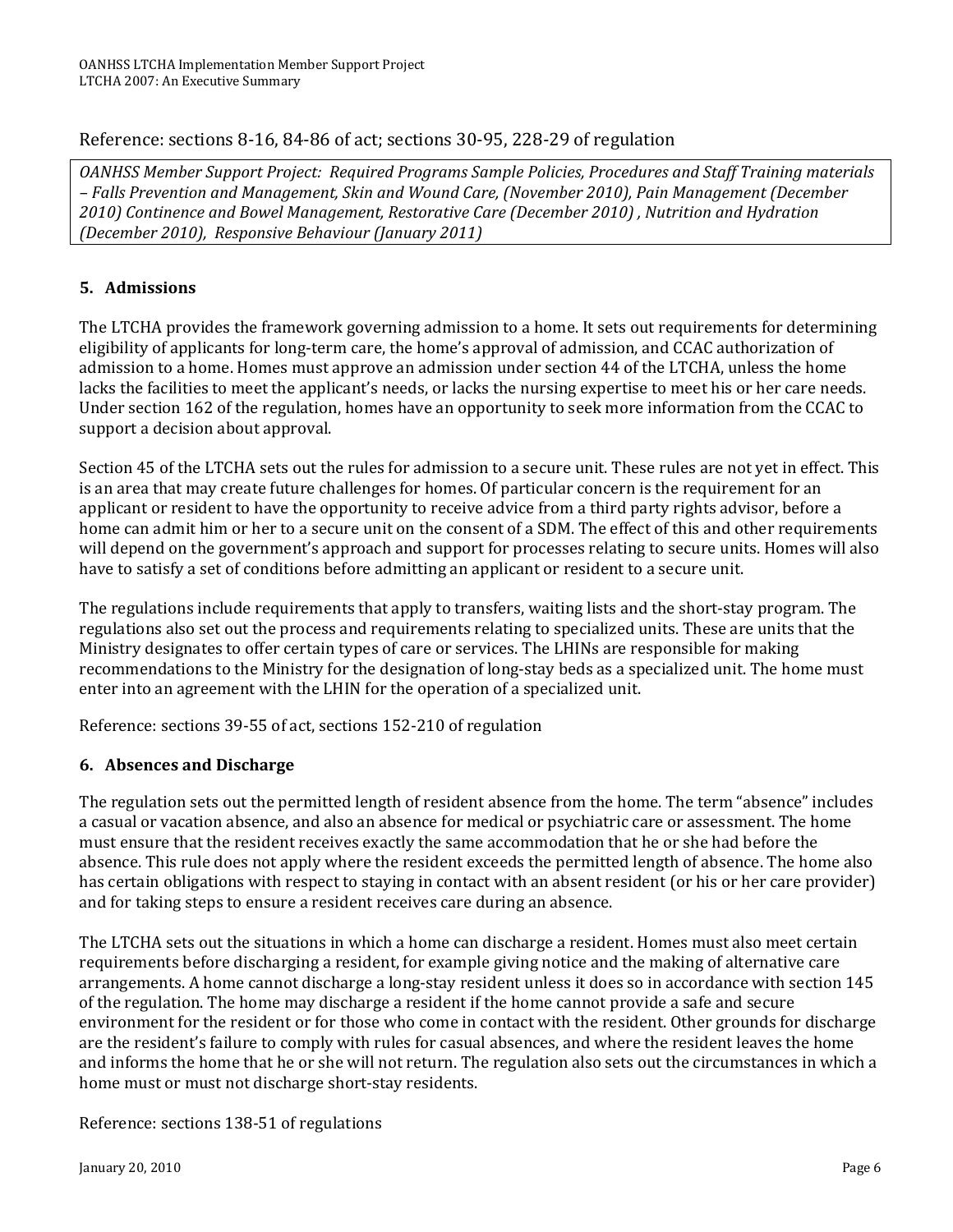### Reference: sections 8‐16, 84‐86 of act; sections 30‐95, 228‐29 of regulation

*OANHSS Member Support Project: Required Programs Sample Policies, Procedures and Staff Training materials – Falls Prevention and Management, Skin and Wound Care, (November 2010), Pain Management (December 2010) Continence and Bowel Management, Restorative Care (December 2010) , Nutrition and Hydration (December 2010), Responsive Behaviour (January 2011)*

### **5. Admissions**

The LTCHA provides the framework governing admission to a home. It sets out requirements for determining eligibility of applicants for long‐term care, the home's approval of admission, and CCAC authorization of admission to a home. Homes must approve an admission under section 44 of the LTCHA, unless the home lacks the facilities to meet the applicant's needs, or lacks the nursing expertise to meet his or her care needs. Under section 162 of the regulation, homes have an opportunity to seek more information from the CCAC to support a decision about approval.

Section 45 of the LTCHA sets out the rules for admission to a secure unit. These rules are not yet in effect. This is an area that may create future challenges for homes. Of particular concern is the requirement for an applicant or resident to have the opportunity to receive advice from a third party rights advisor, before a home can admit him or her to a secure unit on the consent of a SDM. The effect of this and other requirements will depend on the government's approach and support for processes relating to secure units. Homes will also have to satisfy a set of conditions before admitting an applicant or resident to a secure unit.

The regulations include requirements that apply to transfers, waiting lists and the short‐stay program. The regulations also set out the process and requirements relating to specialized units. These are units that the Ministry designates to offer certain types of care or services. The LHINs are responsible for making recommendations to the Ministry for the designation of long-stay beds as a specialized unit. The home must enter into an agreement with the LHIN for the operation of a specialized unit.

Reference: sections 39‐55 of act, sections 152‐210 of regulation

#### **6. Absences and Discharge**

The regulation sets out the permitted length of resident absence from the home. The term "absence" includes a casual or vacation absence, and also an absence for medical or psychiatric care or assessment. The home must ensure that the resident receives exactly the same accommodation that he or she had before the absence. This rule does not apply where the resident exceeds the permitted length of absence. The home also has certain obligations with respect to staying in contact with an absent resident (or his or her care provider) and for taking steps to ensure a resident receives care during an absence.

The LTCHA sets out the situations in which a home can discharge a resident. Homes must also meet certain requirements before discharging a resident, for example giving notice and the making of alternative care arrangements. A home cannot discharge a long‐stay resident unless it does so in accordance with section 145 of the regulation. The home may discharge a resident if the home cannot provide a safe and secure environment for the resident or for those who come in contact with the resident. Other grounds for discharge are the resident's failure to comply with rules for casual absences, and where the resident leaves the home and informs the home that he or she will not return. The regulation also sets out the circumstances in which a home must or must not discharge short-stay residents.

Reference: sections 138‐51 of regulations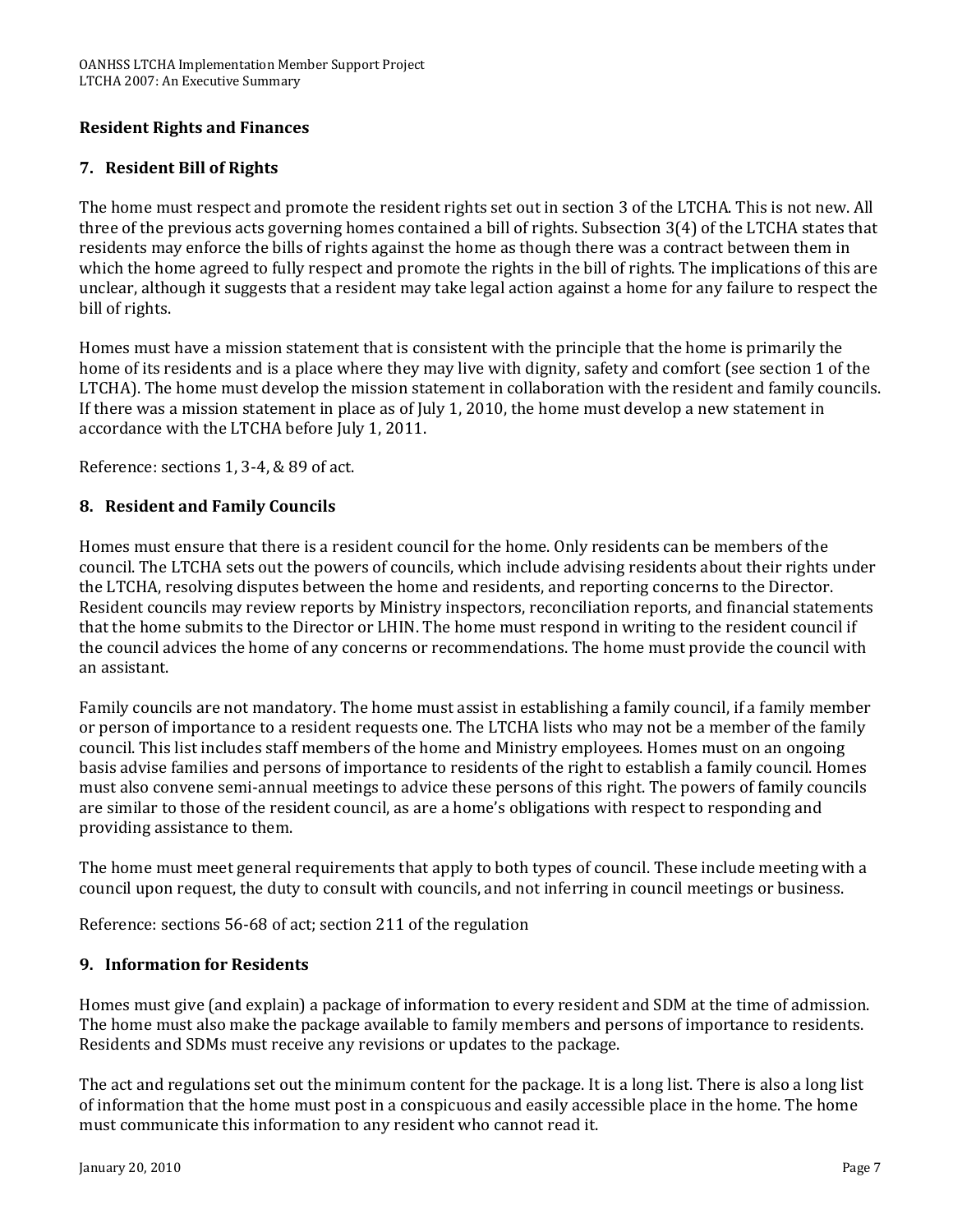#### **Resident Rights and Finances**

#### **7. Resident Bill of Rights**

The home must respect and promote the resident rights set out in section 3 of the LTCHA. This is not new. All three of the previous acts governing homes contained a bill of rights. Subsection 3(4) of the LTCHA states that residents may enforce the bills of rights against the home as though there was a contract between them in which the home agreed to fully respect and promote the rights in the bill of rights. The implications of this are unclear, although it suggests that a resident may take legal action against a home for any failure to respect the bill of rights.

Homes must have a mission statement that is consistent with the principle that the home is primarily the home of its residents and is a place where they may live with dignity, safety and comfort (see section 1 of the LTCHA). The home must develop the mission statement in collaboration with the resident and family councils. If there was a mission statement in place as of July 1, 2010, the home must develop a new statement in accordance with the LTCHA before July 1, 2011.

Reference: sections 1, 3‐4, & 89 of act.

#### **8. Resident and Family Councils**

Homes must ensure that there is a resident council for the home. Only residents can be members of the council. The LTCHA sets out the powers of councils, which include advising residents about their rights under the LTCHA, resolving disputes between the home and residents, and reporting concerns to the Director. Resident councils may review reports by Ministry inspectors, reconciliation reports, and financial statements that the home submits to the Director or LHIN. The home must respond in writing to the resident council if the council advices the home of any concerns or recommendations. The home must provide the council with an assistant.

Family councils are not mandatory. The home must assist in establishing a family council, if a family member or person of importance to a resident requests one. The LTCHA lists who may not be a member of the family council. This list includes staff members of the home and Ministry employees. Homes must on an ongoing basis advise families and persons of importance to residents of the right to establish a family council. Homes must also convene semi‐annual meetings to advice these persons of this right. The powers of family councils are similar to those of the resident council, as are a home's obligations with respect to responding and providing assistance to them.

The home must meet general requirements that apply to both types of council. These include meeting with a council upon request, the duty to consult with councils, and not inferring in council meetings or business.

Reference: sections 56‐68 of act; section 211 of the regulation

#### **9. Information for Residents**

Residents and SDMs must receive any revisions or updates to the package. Homes must give (and explain) a package of information to every resident and SDM at the time of admission. The home must also make the package available to family members and persons of importance to residents.

The act and regulations set out the minimum content for the package. It is a long list. There is also a long list of information that the home must post in a conspicuous and easily accessible place in the home. The home must communicate this information to any resident who cannot read it.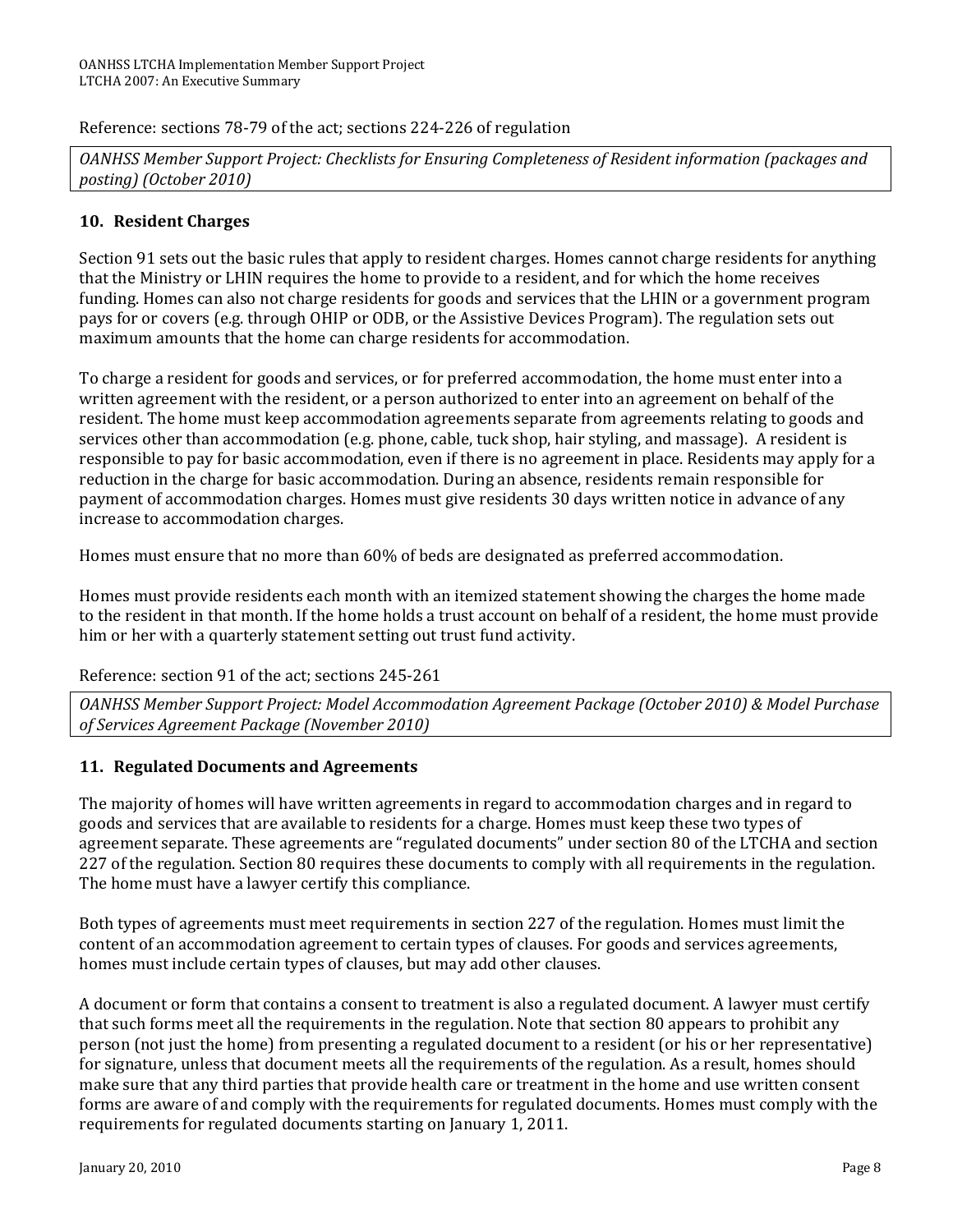Reference: sections 78‐79 of the act; sections 224‐226 of regulation

*OANHSS Member Support Project: Checklists for Ensuring Completeness of Resident information (packages and posting) (October 2010)*

#### **10. Resident Charges**

Section 91 sets out the basic rules that apply to resident charges. Homes cannot charge residents for anything that the Ministry or LHIN requires the home to provide to a resident, and for which the home receives funding. Homes can also not charge residents for goods and services that the LHIN or a government program pays for or covers (e.g. through OHIP or ODB, or the Assistive Devices Program). The regulation sets out maximum amounts that the home can charge residents for accommodation.

To charge a resident for goods and services, or for preferred accommodation, the home must enter into a written agreement with the resident, or a person authorized to enter into an agreement on behalf of the resident. The home must keep accommodation agreements separate from agreements relating to goods and services other than accommodation (e.g. phone, cable, tuck shop, hair styling, and massage). A resident is responsible to pay for basic accommodation, even if there is no agreement in place. Residents may apply for a reduction in the charge for basic accommodation. During an absence, residents remain responsible for payment of accommodation charges. Homes must give residents 30 days written notice in advance of any increase to accommodation charges.

Homes must ensure that no more than 60% of beds are designated as preferred accommodation.

Homes must provide residents each month with an itemized statement showing the charges the home made to the resident in that month. If the home holds a trust account on behalf of a resident, the home must provide him or her with a quarterly statement setting out trust fund activity.

Reference: section 91 of the act; sections 245‐261

*OANHSS Member Support Project: Model Accommodation Agreement Package (October 2010) & Model Purchase of Services Agreement Package (November 2010)*

#### **11. Regulated Documents and Agreements**

The majority of homes will have written agreements in regard to accommodation charges and in regard to goods and services that are available to residents for a charge. Homes must keep these two types of agreement separate. These agreements are "regulated documents" under section 80 of the LTCHA and section 227 of the regulation. Section 80 requires these documents to comply with all requirements in the regulation. The home must have a lawyer certify this compliance.

Both types of agreements must meet requirements in section 227 of the regulation. Homes must limit the content of an accommodation agreement to certain types of clauses. For goods and services agreements, homes must include certain types of clauses, but may add other clauses.

A document or form that contains a consent to treatment is also a regulated document. A lawyer must certify that such forms meet all the requirements in the regulation. Note that section 80 appears to prohibit any person (not just the home) from presenting a regulated document to a resident (or his or her representative) for signature, unless that document meets all the requirements of the regulation. As a result, homes should make sure that any third parties that provide health care or treatment in the home and use written consent forms are aware of and comply with the requirements for regulated documents. Homes must comply with the requirements for regulated documents starting on January 1, 2011.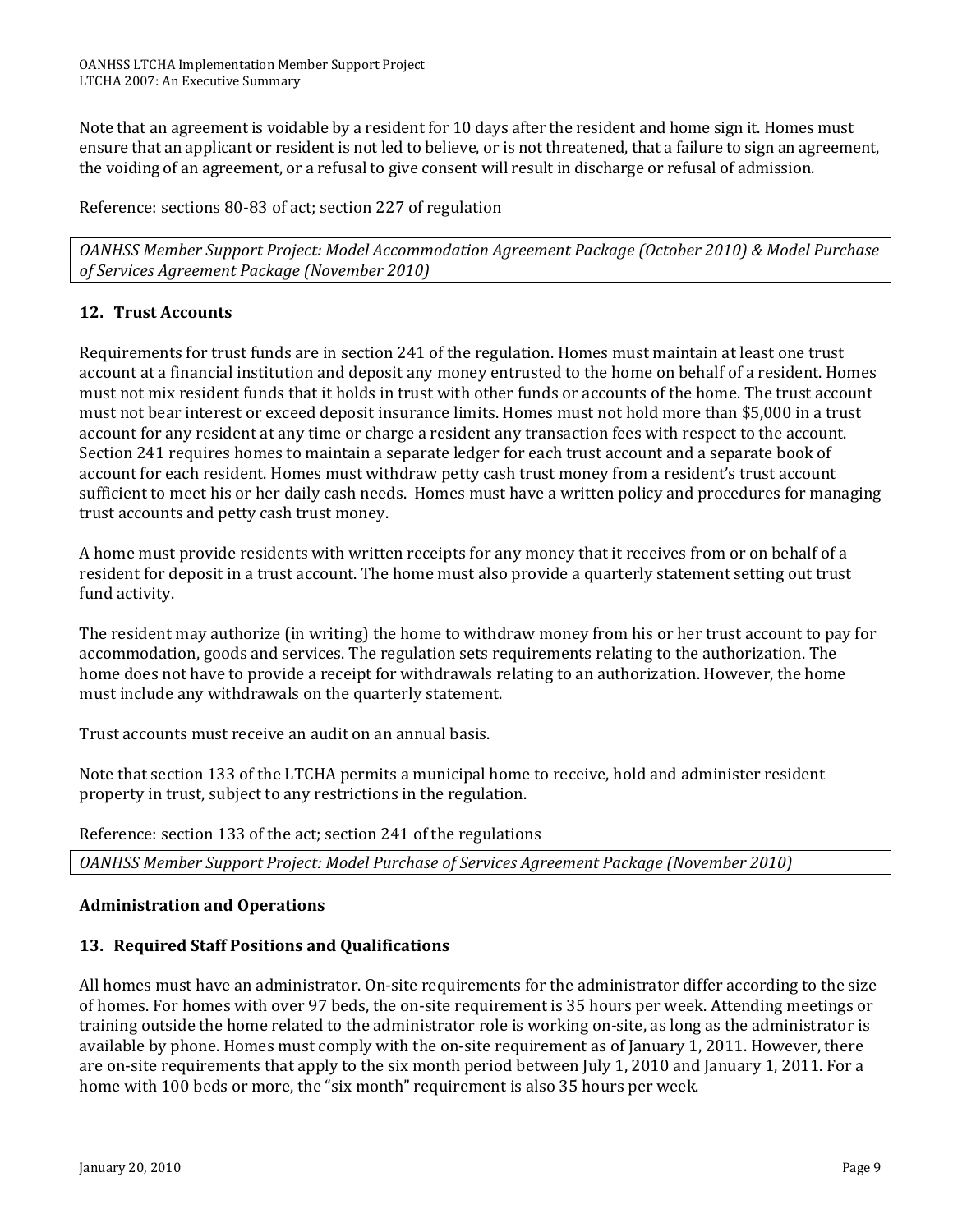Note that an agreement is voidable by a resident for 10 days after the resident and home sign it. Homes must ensure that an applicant or resident is not led to believe, or is not threatened, that a failure to sign an agreement, the voiding of an agreement, or a refusal to give consent will result in discharge or refusal of admission.

Reference: sections 80‐83 of act; section 227 of regulation

*OANHSS Member Support Project: Model Accommodation Agreement Package (October 2010) & Model Purchase of Services Agreement Package (November 2010)*

#### **12. Trust Accounts**

Requirements for trust funds are in section 241 of the regulation. Homes must maintain at least one trust account at a financial institution and deposit any money entrusted to the home on behalf of a resident. Homes must not mix resident funds that it holds in trust with other funds or accounts of the home. The trust account must not bear interest or exceed deposit insurance limits. Homes must not hold more than \$5,000 in a trust account for any resident at any time or charge a resident any transaction fees with respect to the account. Section 241 requires homes to maintain a separate ledger for each trust account and a separate book of account for each resident. Homes must withdraw petty cash trust money from a resident's trust account sufficient to meet his or her daily cash needs. Homes must have a written policy and procedures for managing trust accounts and petty cash trust money.

A home must provide residents with written receipts for any money that it receives from or on behalf of a resident for deposit in a trust account. The home must also provide a quarterly statement setting out trust fund activity.

The resident may authorize (in writing) the home to withdraw money from his or her trust account to pay for accommodation, goods and services. The regulation sets requirements relating to the authorization. The home does not have to provide a receipt for withdrawals relating to an authorization. However, the home must include any withdrawals on the quarterly statement.

Trust accounts must receive an audit on an annual basis.

Note that section 133 of the LTCHA permits a municipal home to receive, hold and administer resident property in trust, subject to any restrictions in the regulation.

Reference: section 133 of the act; section 241 of the regulations

*OANHSS Member Support Project: Model Purchase of Services Agreement Package (November 2010)*

#### **Administration and Operations**

#### **13. Required Staff Positions and Qualifications**

All homes must have an administrator. On‐site requirements for the administrator differ according to the size of homes. For homes with over 97 beds, the on‐site requirement is 35 hours per week. Attending meetings or training outside the home related to the administrator role is working on‐site, as long as the administrator is available by phone. Homes must comply with the on‐site requirement as of January 1, 2011. However, there are on-site requirements that apply to the six month period between July 1, 2010 and January 1, 2011. For a home with 100 beds or more, the "six month" requirement is also 35 hours per week.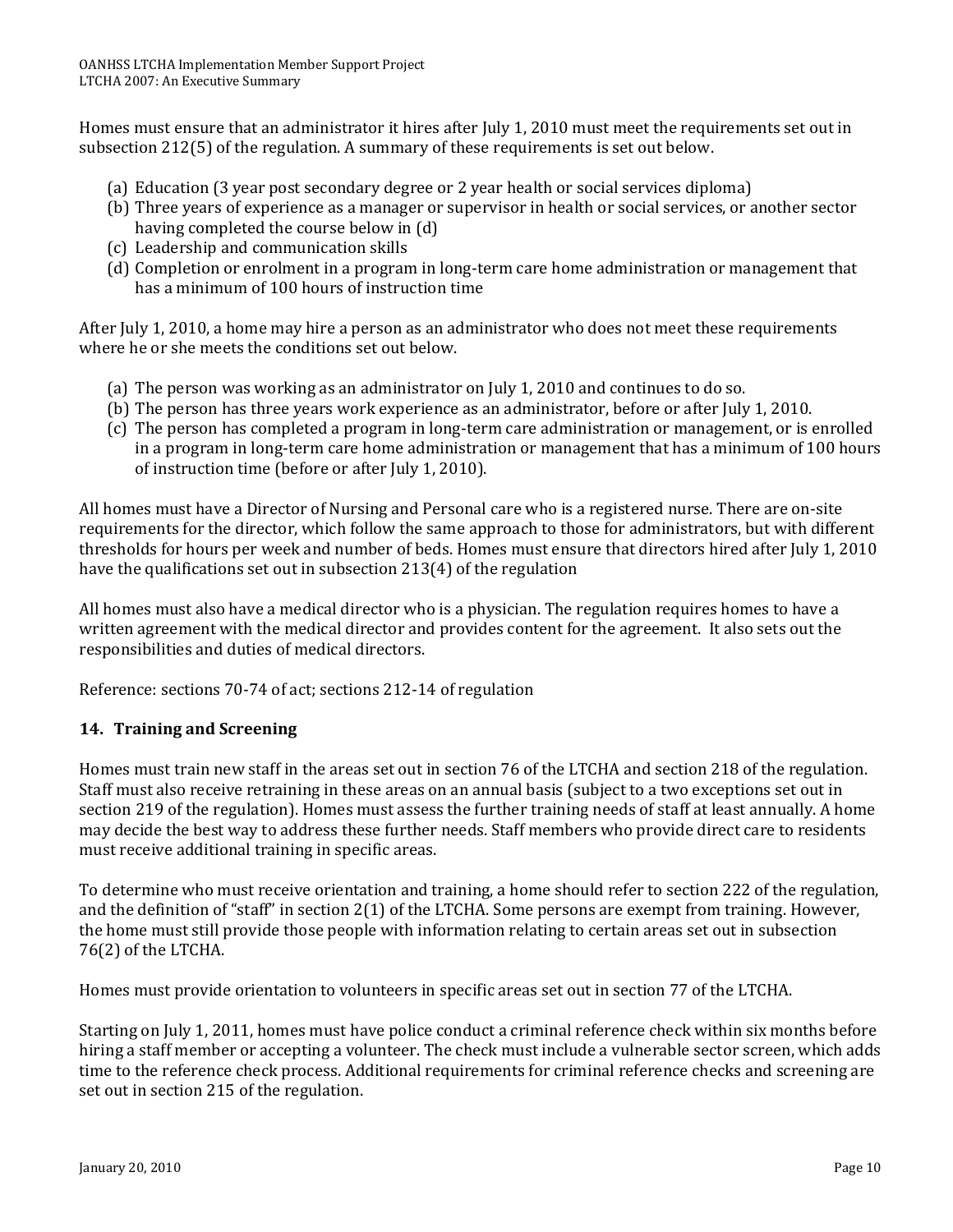Homes must ensure that an administrator it hires after July 1, 2010 must meet the requirements set out in subsection 212(5) of the regulation. A summary of these requirements is set out below.

- (a) Education (3 year post secondary degree or 2 year health or social services diploma)
- (b) Three years of experience as a manager or supervisor in health or social services, or another sector having completed the course below in (d)
- (c) Leadership and communication skills
- (d) Completion or enrolment in a program in long‐term care home administration or management that has a minimum of 100 hours of instruction time

After July 1, 2010, a home may hire a person as an administrator who does not meet these requirements where he or she meets the conditions set out below.

- (a) The person was working as an administrator on July 1, 2010 and continues to do so.
- (b) The person has three years work experience as an administrator, before or after July 1, 2010.
- (c) The person has completed a program in long‐term care administration or management, or is enrolled in a program in long‐term care home administration or management that has a minimum of 100 hours of instruction time (before or after July 1, 2010).

All homes must have a Director of Nursing and Personal care who is a registered nurse. There are on‐site requirements for the director, which follow the same approach to those for administrators, but with different thresholds for hours per week and number of beds. Homes must ensure that directors hired after July 1, 2010 have the qualifications set out in subsection 213(4) of the regulation

All homes must also have a medical director who is a physician. The regulation requires homes to have a written agreement with the medical director and provides content for the agreement. It also sets out the responsibilities and duties of medical directors.

Reference: sections 70‐74 of act; sections 212‐14 of regulation

#### **14. Training and Screening**

Homes must train new staff in the areas set out in section 76 of the LTCHA and section 218 of the regulation. Staff must also receive retraining in these areas on an annual basis (subject to a two exceptions set out in section 219 of the regulation). Homes must assess the further training needs of staff at least annually. A home may decide the best way to address these further needs. Staff members who provide direct care to residents must receive additional training in specific areas.

To determine who must receive orientation and training, a home should refer to section 222 of the regulation, and the definition of "staff" in section 2(1) of the LTCHA. Some persons are exempt from training. However, the home must still provide those people with information relating to certain areas set out in subsection 76(2) of the LTCHA.

Homes must provide orientation to volunteers in specific areas set out in section 77 of the LTCHA.

Starting on July 1, 2011, homes must have police conduct a criminal reference check within six months before hiring a staff member or accepting a volunteer. The check must include a vulnerable sector screen, which adds time to the reference check process. Additional requirements for criminal reference checks and screening are set out in section 215 of the regulation.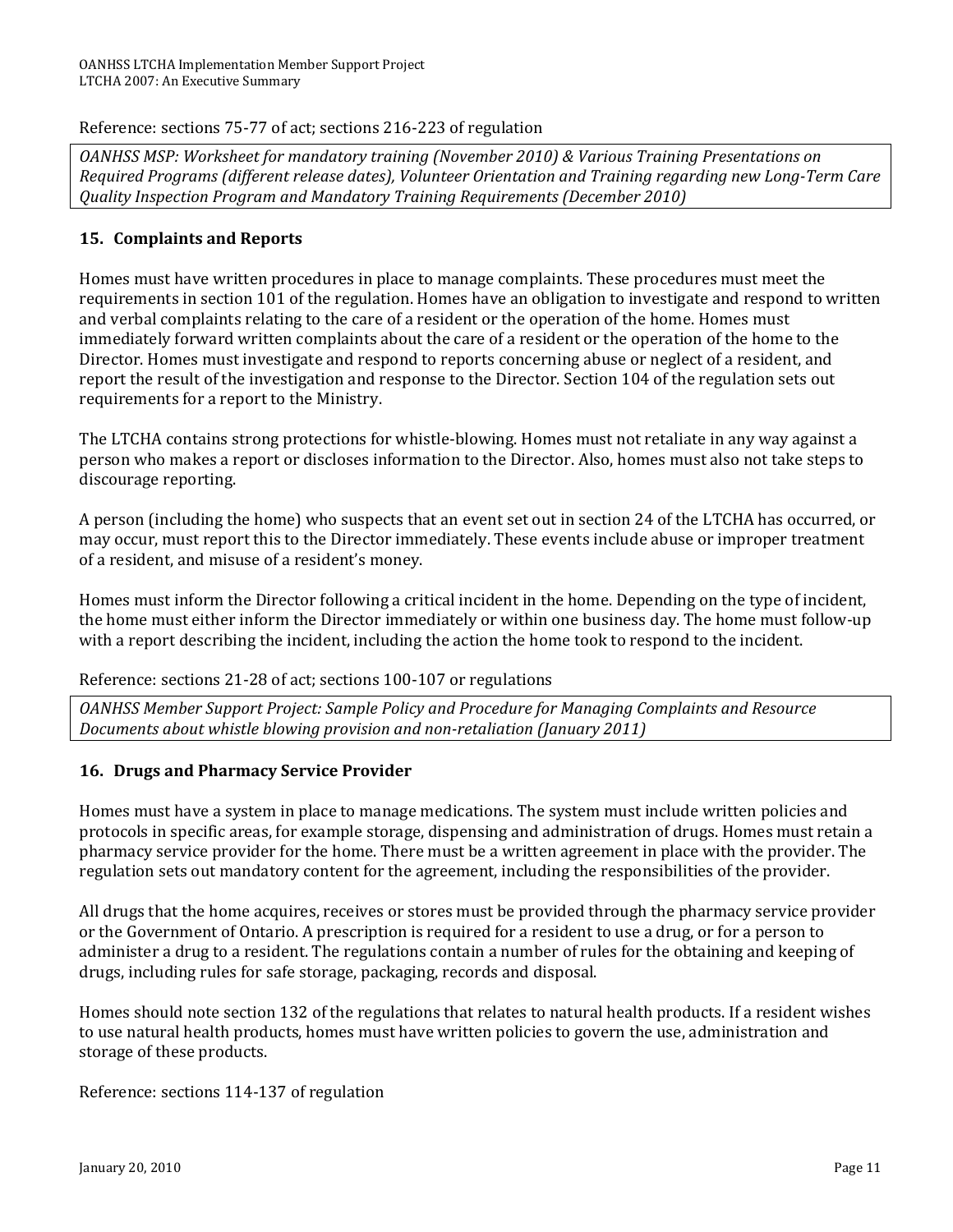Reference: sections 75‐77 of act; sections 216‐223 of regulation

*OANHSS MSP: Worksheet for mandatory training (November 2010) & Various Training Presentations on Required Programs (different release dates), Volunteer Orientation and Training regarding new LongTerm Care Quality Inspection Program and Mandatory Training Requirements (December 2010)*

#### **15. Complaints and Reports**

Homes must have written procedures in place to manage complaints. These procedures must meet the requirements in section 101 of the regulation. Homes have an obligation to investigate and respond to written and verbal complaints relating to the care of a resident or the operation of the home. Homes must immediately forward written complaints about the care of a resident or the operation of the home to the Director. Homes must investigate and respond to reports concerning abuse or neglect of a resident, and report the result of the investigation and response to the Director. Section 104 of the regulation sets out requirements for a report to the Ministry.

The LTCHA contains strong protections for whistle‐blowing. Homes must not retaliate in any way against a person who makes a report or discloses information to the Director. Also, homes must also not take steps to discourage reporting.

A person (including the home) who suspects that an event set out in section 24 of the LTCHA has occurred, or may occur, must report this to the Director immediately. These events include abuse or improper treatment of a resident, and misuse of a resident's money.

Homes must inform the Director following a critical incident in the home. Depending on the type of incident, the home must either inform the Director immediately or within one business day. The home must follow-up with a report describing the incident, including the action the home took to respond to the incident.

Reference: sections 21‐28 of act; sections 100‐107 or regulations

*OANHSS Member Support Project: Sample Policy and Procedure for Managing Complaints and Resource Documents about whistle blowing provision and nonretaliation (January 2011)*

#### **16. Drugs and Pharmacy Service Provider**

Homes must have a system in place to manage medications. The system must include written policies and protocols in specific areas, for example storage, dispensing and administration of drugs. Homes must retain a pharmacy service provider for the home. There must be a written agreement in place with the provider. The regulation sets out mandatory content for the agreement, including the responsibilities of the provider.

All drugs that the home acquires, receives or stores must be provided through the pharmacy service provider or the Government of Ontario. A prescription is required for a resident to use a drug, or for a person to administer a drug to a resident. The regulations contain a number of rules for the obtaining and keeping of drugs, including rules for safe storage, packaging, records and disposal.

Homes should note section 132 of the regulations that relates to natural health products. If a resident wishes to use natural health products, homes must have written policies to govern the use, administration and storage of these products.

Reference: sections 114‐137 of regulation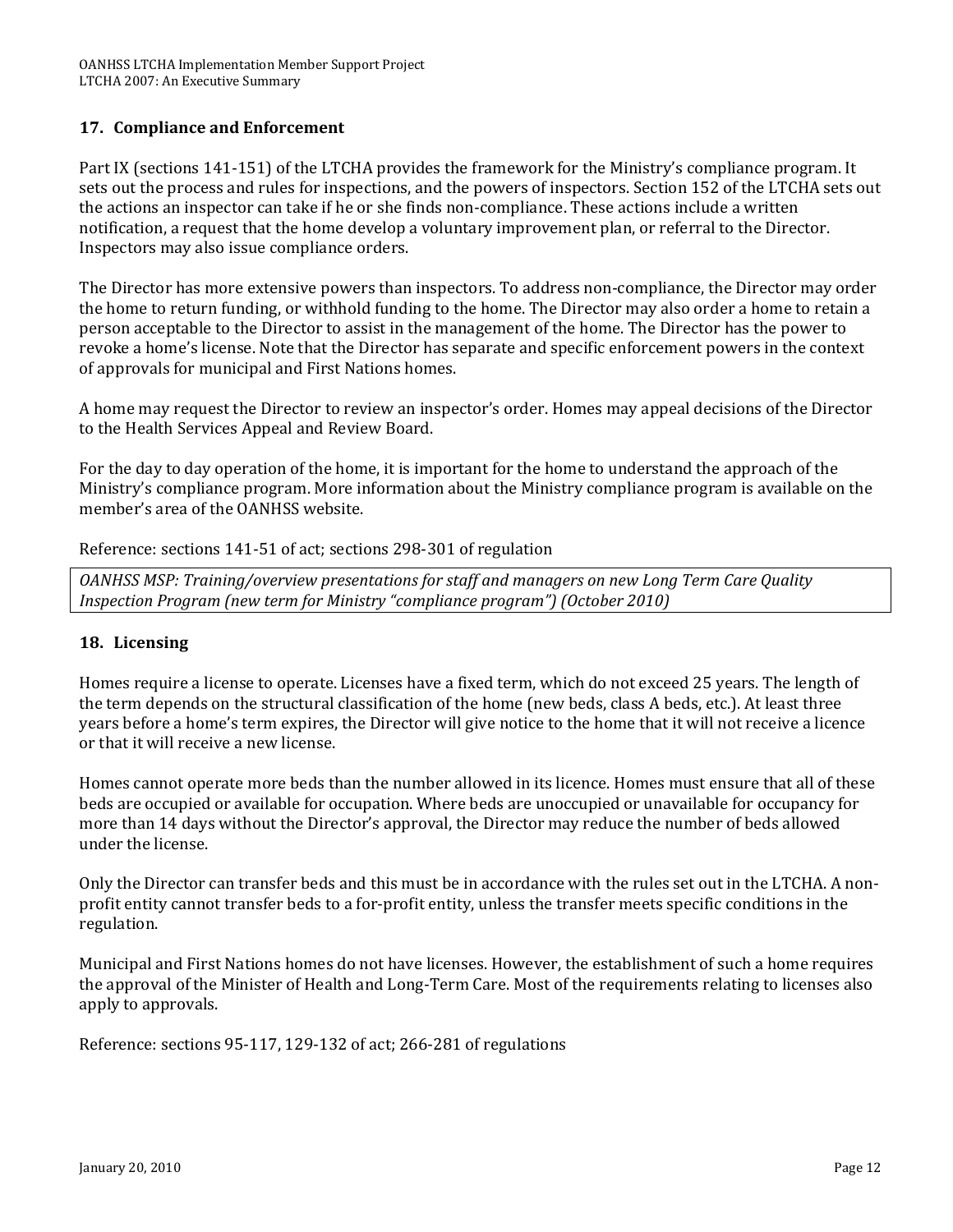#### **17. Compliance and Enforcement**

Part IX (sections 141‐151) of the LTCHA provides the framework for the Ministry's compliance program. It sets out the process and rules for inspections, and the powers of inspectors. Section 152 of the LTCHA sets out the actions an inspector can take if he or she finds non‐compliance. These actions include a written notification, a request that the home develop a voluntary improvement plan, or referral to the Director. Inspectors may also issue compliance orders.

The Director has more extensive powers than inspectors. To address non‐compliance, the Director may order the home to return funding, or withhold funding to the home. The Director may also order a home to retain a person acceptable to the Director to assist in the management of the home. The Director has the power to revoke a home's license. Note that the Director has separate and specific enforcement powers in the context of approvals for municipal and First Nations homes.

A home may request the Director to review an inspector's order. Homes may appeal decisions of the Director to the Health Services Appeal and Review Board.

For the day to day operation of the home, it is important for the home to understand the approach of the Ministry's compliance program. More information about the Ministry compliance program is available on the member's area of the OANHSS website.

Reference: sections 141‐51 of act; sections 298‐301 of regulation

*OANHSS MSP: Training/overview presentations for staff and managers on new Long Term Care Quality Inspection Program (new term for Ministry "compliance program") (October 2010)*

#### **18. Licensing**

Homes require a license to operate. Licenses have a fixed term, which do not exceed 25 years. The length of the term depends on the structural classification of the home (new beds, class A beds, etc.). At least three years before a home's term expires, the Director will give notice to the home that it will not receive a licence or that it will receive a new license.

Homes cannot operate more beds than the number allowed in its licence. Homes must ensure that all of these beds are occupied or available for occupation. Where beds are unoccupied or unavailable for occupancy for more than 14 days without the Director's approval, the Director may reduce the number of beds allowed under the license.

Only the Director can transfer beds and this must be in accordance with the rules set out in the LTCHA. A non‐ profit entity cannot transfer beds to a for‐profit entity, unless the transfer meets specific conditions in the regulation.

Municipal and First Nations homes do not have licenses. However, the establishment of such a home requires the approval of the Minister of Health and Long‐Term Care. Most of the requirements relating to licenses also apply to approvals.

Reference: sections 95‐117, 129‐132 of act; 266‐281 of regulations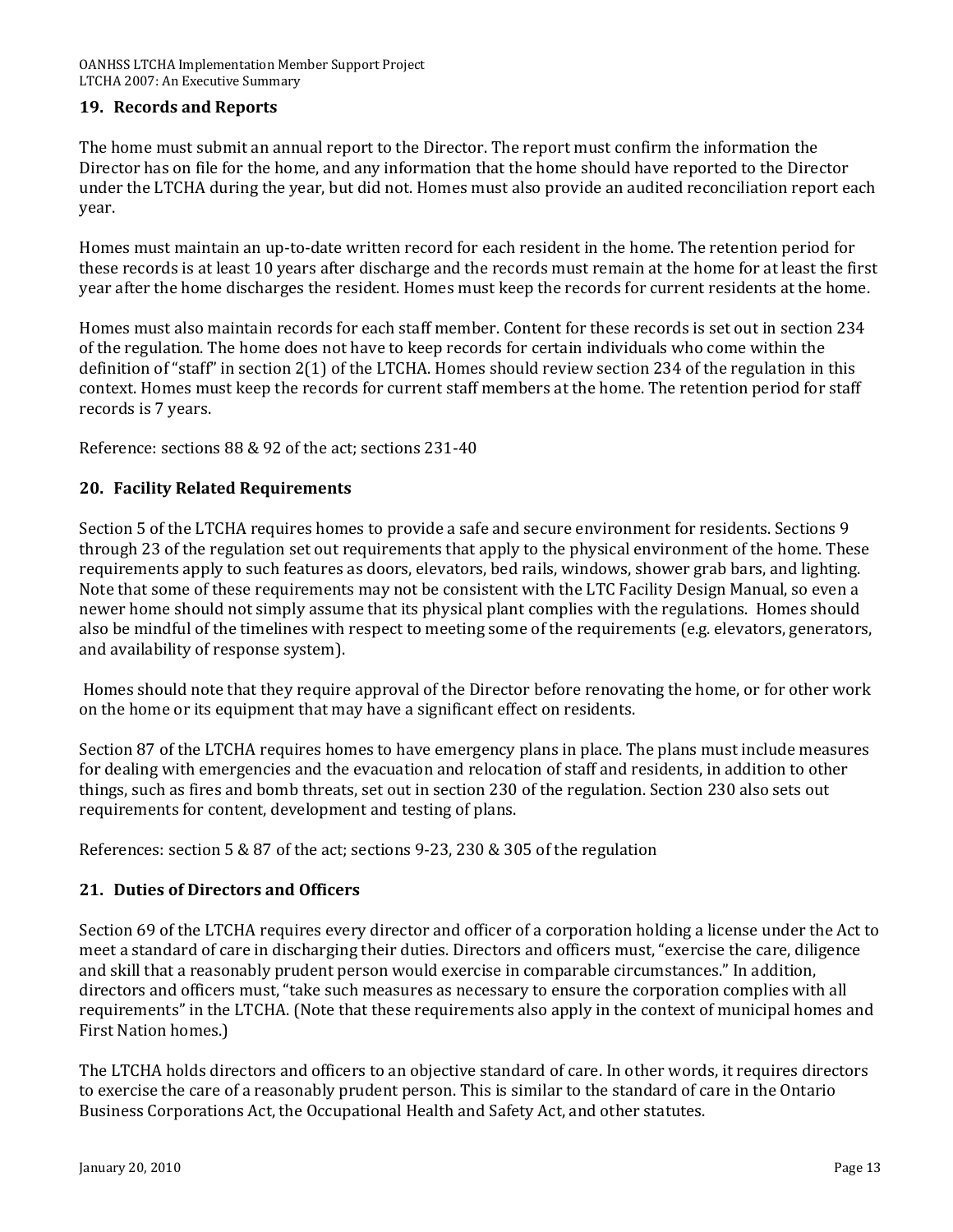#### **19. Records and Reports**

The home must submit an annual report to the Director. The report must confirm the information the Director has on file for the home, and any information that the home should have reported to the Director under the LTCHA during the year, but did not. Homes must also provide an audited reconciliation report each year.

Homes must maintain an up‐to‐date written record for each resident in the home. The retention period for hese records is at least 10 years after discharge and the records must remain at the home for at least the first t year after the home discharges the resident. Homes must keep the records for current residents at the home.

Homes must also maintain records for each staff member. Content for these records is set out in section 234 of the regulation. The home does not have to keep records for certain individuals who come within the definition of "staff" in section 2(1) of the LTCHA. Homes should review section 234 of the regulation in this context. Homes must keep the records for current staff members at the home. The retention period for staff records is 7 years.

Reference: sections 88 & 92 of the act; sections 231‐40

#### **20. Facility Related Requirements**

Section 5 of the LTCHA requires homes to provide a safe and secure environment for residents. Sections 9 through 23 of the regulation set out requirements that apply to the physical environment of the home. These requirements apply to such features as doors, elevators, bed rails, windows, shower grab bars, and lighting. Note that some of these requirements may not be consistent with the LTC Facility Design Manual, so even a newer home should not simply assume that its physical plant complies with the regulations. Homes should also be mindful of the timelines with respect to meeting some of the requirements (e.g. elevators, generators, and availability of response system).

Homes should note that they require approval of the Director before renovating the home, or for other work on the home or its equipment that may have a significant effect on residents.

Section 87 of the LTCHA requires homes to have emergency plans in place. The plans must include measures for dealing with emergencies and the evacuation and relocation of staff and residents, in addition to other things, such as fires and bomb threats, set out in section 230 of the regulation. Section 230 also sets out requirements for content, development and testing of plans.

References: section 5 & 87 of the act; sections 9‐23, 230 & 305 of the regulation

#### **21. Duties of Directors and Officers**

Section 69 of the LTCHA requires every director and officer of a corporation holding a license under the Act to meet a standard of care in discharging their duties. Directors and officers must, "exercise the care, diligence and skill that a reasonably prudent person would exercise in comparable circumstances." In addition, directors and officers must, "take such measures as necessary to ensure the corporation complies with all requirements" in the LTCHA. (Note that these requirements also apply in the context of municipal homes and First Nation homes.)

The LTCHA holds directors and officers to an objective standard of care. In other words, it requires directors to exercise the care of a reasonably prudent person. This is similar to the standard of care in the Ontario Business Corporations Act, the Occupational Health and Safety Act, and other statutes.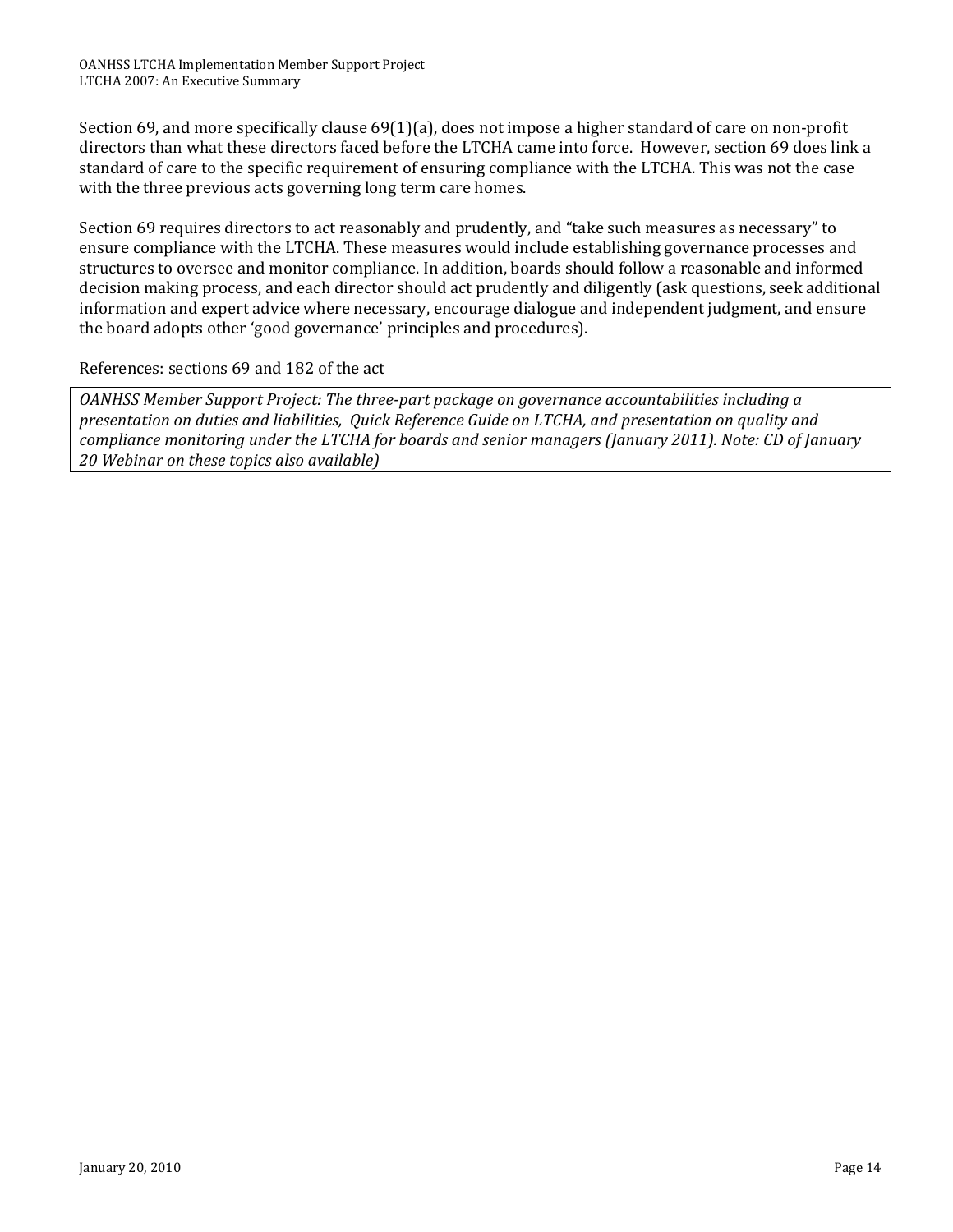Section 69, and more specifically clause 69(1)(a), does not impose a higher standard of care on non-profit directors than what these directors faced before the LTCHA came into force. However, section 69 does link a standard of care to the specific requirement of ensuring compliance with the LTCHA. This was not the case with the three previous acts governing long term care homes.

Section 69 requires directors to act reasonably and prudently, and "take such measures as necessary" to ensure compliance with the LTCHA. These measures would include establishing governance processes and structures to oversee and monitor compliance. In addition, boards should follow a reasonable and informed decision making process, and each director should act prudently and diligently (ask questions, seek additional nformation and expert advice where necessary, encourage dialogue and independent judgment, and ensure i the board adopts other 'good governance' principles and procedures).

#### References: sections 69 and 182 of the act

*OANHSS Member Support Project: The threepart package on governance accountabilities including a presentation on duties and liabilities, Quick Reference Guide on LTCHA, and presentation on quality and compliance monitoring under the LTCHA for boards and senior managers (January 2011). Note: CD of January 20 Webinar on these topics also available)*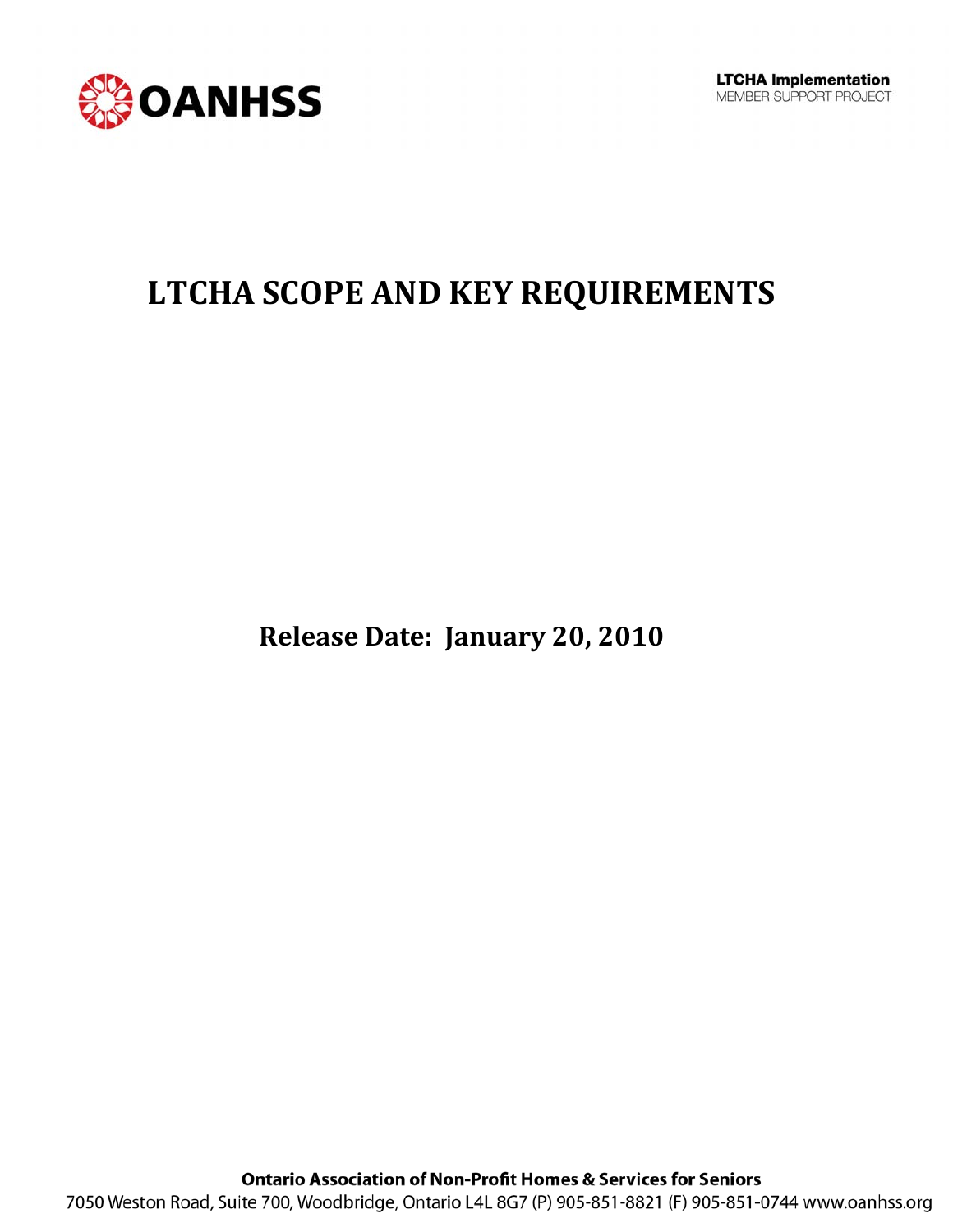

### **LTCHA SCOPE AND KEY REQUIREMENTS**

**Release Date: January 20, 2010**

**Ontario Association of Non-Profit Homes & Services for Seniors** 7050 Weston Road, Suite 700, Woodbridge, Ontario L4L 8G7 (P) 905-851-8821 (F) 905-851-0744 www.oanhss.org